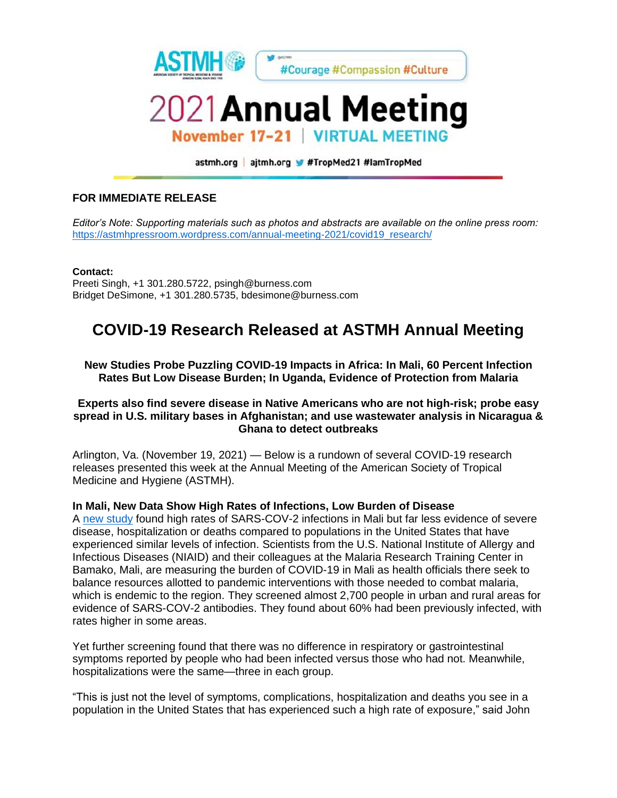

astmh.org | ajtmh.org #TropMed21 #IamTropMed

# **FOR IMMEDIATE RELEASE**

*Editor's Note: Supporting materials such as photos and abstracts are available on the online press room:*  [https://astmhpressroom.wordpress.com/annual-meeting-2021/covid19\\_research/](https://astmhpressroom.wordpress.com/annual-meeting-2021/covid19_research/)

**Contact:** Preeti Singh, +1 301.280.5722, psingh@burness.com Bridget DeSimone, +1 301.280.5735, bdesimone@burness.com

# **COVID-19 Research Released at ASTMH Annual Meeting**

**New Studies Probe Puzzling COVID-19 Impacts in Africa: In Mali, 60 Percent Infection Rates But Low Disease Burden; In Uganda, Evidence of Protection from Malaria** 

### **Experts also find severe disease in Native Americans who are not high-risk; probe easy spread in U.S. military bases in Afghanistan; and use wastewater analysis in Nicaragua & Ghana to detect outbreaks**

Arlington, Va. (November 19, 2021) — Below is a rundown of several COVID-19 research releases presented this week at the Annual Meeting of the American Society of Tropical Medicine and Hygiene (ASTMH).

### **In Mali, New Data Show High Rates of Infections, Low Burden of Disease**

A [new study](http://app.core-apps.com/tristar-astmh21/abstract/8f7f906d-4199-4d95-9837-78a876dd9c9d) found high rates of SARS-COV-2 infections in Mali but far less evidence of severe disease, hospitalization or deaths compared to populations in the United States that have experienced similar levels of infection. Scientists from the U.S. National Institute of Allergy and Infectious Diseases (NIAID) and their colleagues at the Malaria Research Training Center in Bamako, Mali, are measuring the burden of COVID-19 in Mali as health officials there seek to balance resources allotted to pandemic interventions with those needed to combat malaria, which is endemic to the region. They screened almost 2,700 people in urban and rural areas for evidence of SARS-COV-2 antibodies. They found about 60% had been previously infected, with rates higher in some areas.

Yet further screening found that there was no difference in respiratory or gastrointestinal symptoms reported by people who had been infected versus those who had not. Meanwhile, hospitalizations were the same—three in each group.

"This is just not the level of symptoms, complications, hospitalization and deaths you see in a population in the United States that has experienced such a high rate of exposure," said John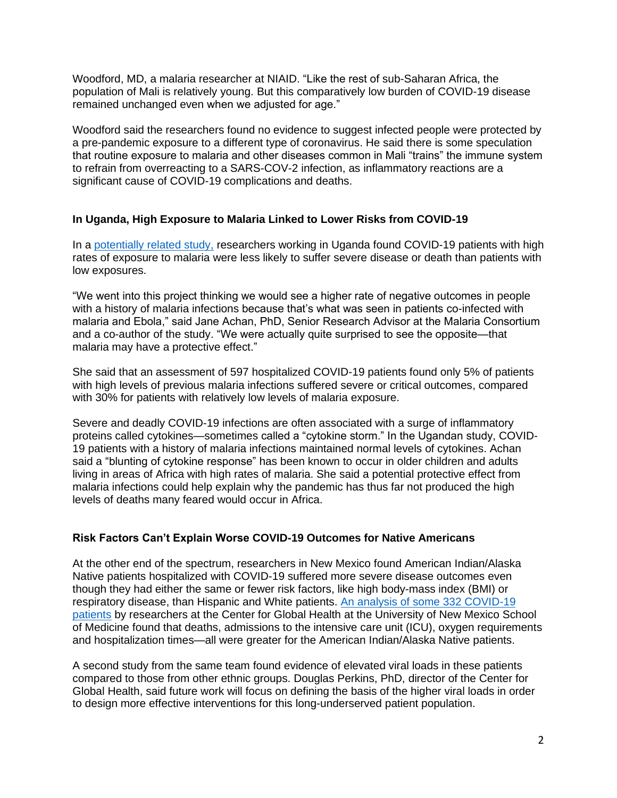Woodford, MD, a malaria researcher at NIAID. "Like the rest of sub-Saharan Africa, the population of Mali is relatively young. But this comparatively low burden of COVID-19 disease remained unchanged even when we adjusted for age."

Woodford said the researchers found no evidence to suggest infected people were protected by a pre-pandemic exposure to a different type of coronavirus. He said there is some speculation that routine exposure to malaria and other diseases common in Mali "trains" the immune system to refrain from overreacting to a SARS-COV-2 infection, as inflammatory reactions are a significant cause of COVID-19 complications and deaths.

# **In Uganda, High Exposure to Malaria Linked to Lower Risks from COVID-19**

In a [potentially related study,](http://app.core-apps.com/tristar-astmh21/abstract/d5e82e16-6932-4940-b150-54fb2db9feaa) researchers working in Uganda found COVID-19 patients with high rates of exposure to malaria were less likely to suffer severe disease or death than patients with low exposures.

"We went into this project thinking we would see a higher rate of negative outcomes in people with a history of malaria infections because that's what was seen in patients co-infected with malaria and Ebola," said Jane Achan, PhD, Senior Research Advisor at the Malaria Consortium and a co-author of the study. "We were actually quite surprised to see the opposite—that malaria may have a protective effect."

She said that an assessment of 597 hospitalized COVID-19 patients found only 5% of patients with high levels of previous malaria infections suffered severe or critical outcomes, compared with 30% for patients with relatively low levels of malaria exposure.

Severe and deadly COVID-19 infections are often associated with a surge of inflammatory proteins called cytokines—sometimes called a "cytokine storm." In the Ugandan study, COVID-19 patients with a history of malaria infections maintained normal levels of cytokines. Achan said a "blunting of cytokine response" has been known to occur in older children and adults living in areas of Africa with high rates of malaria. She said a potential protective effect from malaria infections could help explain why the pandemic has thus far not produced the high levels of deaths many feared would occur in Africa.

# **Risk Factors Can't Explain Worse COVID-19 Outcomes for Native Americans**

At the other end of the spectrum, researchers in New Mexico found American Indian/Alaska Native patients hospitalized with COVID-19 suffered more severe disease outcomes even though they had either the same or fewer risk factors, like high body-mass index (BMI) or respiratory disease, than Hispanic and White patients. [An analysis of some 332 COVID-19](http://app.core-apps.com/tristar-astmh21/abstract/f4ff7093-b9da-4ff6-9963-6a4f34454bad)  [patients](http://app.core-apps.com/tristar-astmh21/abstract/f4ff7093-b9da-4ff6-9963-6a4f34454bad) by researchers at the Center for Global Health at the University of New Mexico School of Medicine found that deaths, admissions to the intensive care unit (ICU), oxygen requirements and hospitalization times—all were greater for the American Indian/Alaska Native patients.

A second study from the same team found evidence of elevated viral loads in these patients compared to those from other ethnic groups. Douglas Perkins, PhD, director of the Center for Global Health, said future work will focus on defining the basis of the higher viral loads in order to design more effective interventions for this long-underserved patient population.